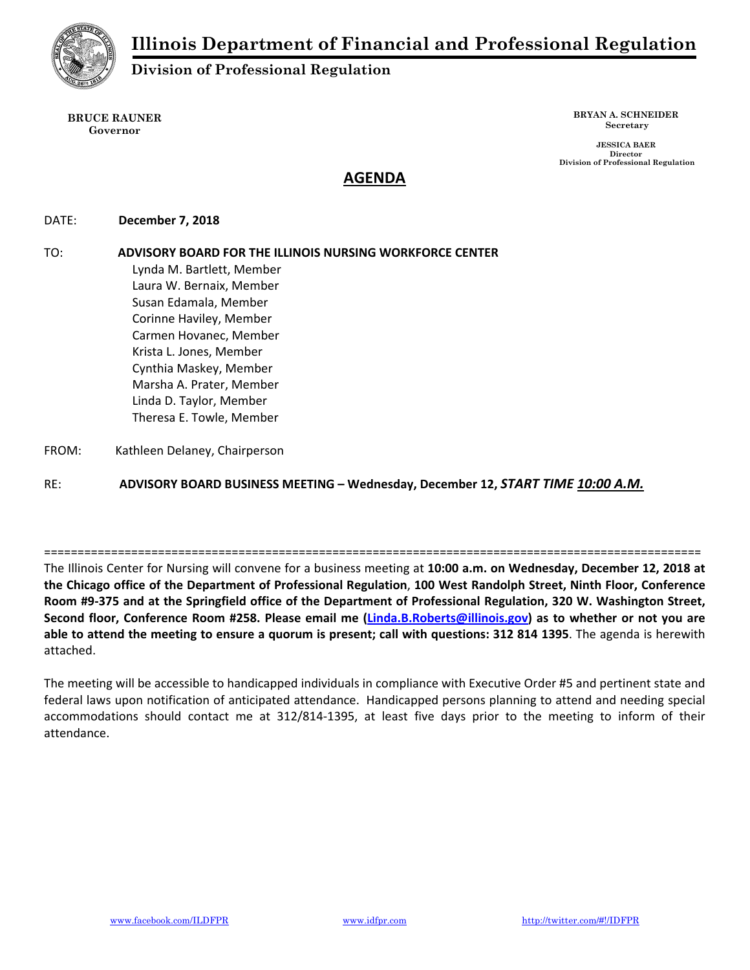

# **Division of Professional Regulation**

**BRUCE RAUNER Governor** 

**BRYAN A. SCHNEIDER Secretary** 

 **JESSICA BAER Director Division of Professional Regulation** 

# **AGENDA**

DATE:  **December 7, 2018** 

TO: **ADVISORY BOARD FOR THE ILLINOIS NURSING WORKFORCE CENTER** Lynda M. Bartlett, Member Laura W. Bernaix, Member Susan Edamala, Member Corinne Haviley, Member Carmen Hovanec, Member Krista L. Jones, Member Cynthia Maskey, Member Marsha A. Prater, Member Linda D. Taylor, Member Theresa E. Towle, Member

FROM: Kathleen Delaney, Chairperson

RE: **ADVISORY BOARD BUSINESS MEETING – Wednesday, December 12,** *START TIME 10:00 A.M.*

The Illinois Center for Nursing will convene for a business meeting at **10:00 a.m. on Wednesday, December 12, 2018 at the Chicago office of the Department of Professional Regulation**, **100 West Randolph Street, Ninth Floor, Conference Room #9‐375 and at the Springfield office of the Department of Professional Regulation, 320 W. Washington Street, Second floor, Conference Room #258. Please email me (Linda.B.Roberts@illinois.gov) as to whether or not you are able to attend the meeting to ensure a quorum is present; call with questions: 312 814 1395**. The agenda is herewith attached.

==================================================================================================

The meeting will be accessible to handicapped individuals in compliance with Executive Order #5 and pertinent state and federal laws upon notification of anticipated attendance. Handicapped persons planning to attend and needing special accommodations should contact me at 312/814‐1395, at least five days prior to the meeting to inform of their attendance.